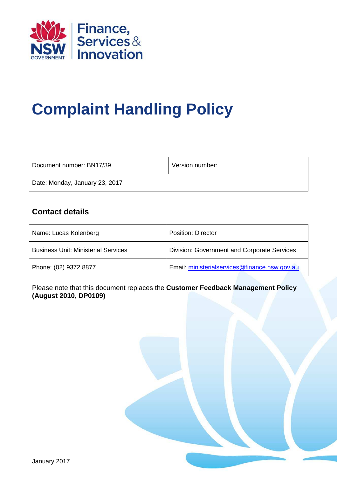

# **Complaint Handling Policy**

| Document number: BN17/39       | Version number: |
|--------------------------------|-----------------|
| Date: Monday, January 23, 2017 |                 |

## **Contact details**

| Name: Lucas Kolenberg                      | <b>Position: Director</b>                          |
|--------------------------------------------|----------------------------------------------------|
| <b>Business Unit: Ministerial Services</b> | <b>Division: Government and Corporate Services</b> |
| Phone: (02) 9372 8877                      | Email: ministerialservices@finance.nsw.gov.au      |

Please note that this document replaces the **Customer Feedback Management Policy (August 2010, DP0109)**

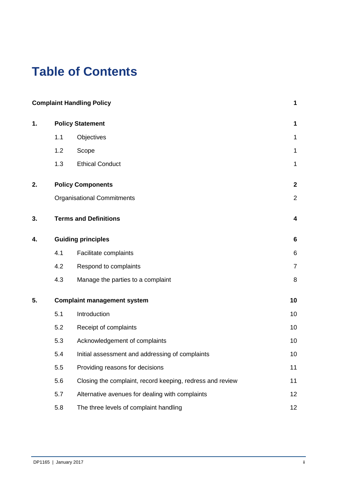## **Table of Contents**

|    |     | <b>Complaint Handling Policy</b>                          | 1              |  |
|----|-----|-----------------------------------------------------------|----------------|--|
| 1. |     | <b>Policy Statement</b>                                   | 1              |  |
|    | 1.1 | Objectives                                                | $\mathbf 1$    |  |
|    | 1.2 | Scope                                                     | $\mathbf{1}$   |  |
|    | 1.3 | <b>Ethical Conduct</b>                                    | $\mathbf 1$    |  |
| 2. |     | <b>Policy Components</b>                                  | $\mathbf 2$    |  |
|    |     | <b>Organisational Commitments</b>                         | $\overline{2}$ |  |
| 3. |     | <b>Terms and Definitions</b>                              | 4              |  |
| 4. |     | <b>Guiding principles</b>                                 |                |  |
|    | 4.1 | Facilitate complaints                                     | 6              |  |
|    | 4.2 | Respond to complaints                                     | $\overline{7}$ |  |
|    | 4.3 | Manage the parties to a complaint                         | 8              |  |
| 5. |     | <b>Complaint management system</b>                        |                |  |
|    | 5.1 | Introduction                                              | 10             |  |
|    | 5.2 | Receipt of complaints                                     | 10             |  |
|    | 5.3 | Acknowledgement of complaints                             | 10             |  |
|    | 5.4 | Initial assessment and addressing of complaints           | 10             |  |
|    | 5.5 | Providing reasons for decisions                           | 11             |  |
|    | 5.6 | Closing the complaint, record keeping, redress and review | 11             |  |
|    | 5.7 | Alternative avenues for dealing with complaints           | 12             |  |
|    | 5.8 | The three levels of complaint handling                    | 12             |  |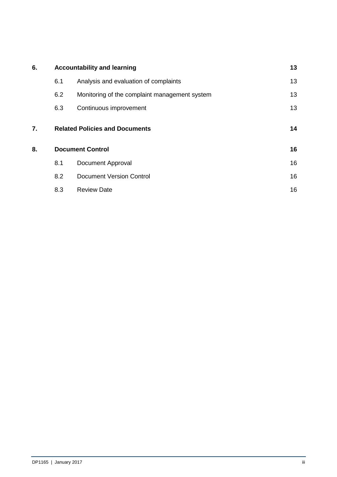| 6. | <b>Accountability and learning</b> | 13                                            |    |
|----|------------------------------------|-----------------------------------------------|----|
|    | 6.1                                | Analysis and evaluation of complaints         | 13 |
|    | 6.2                                | Monitoring of the complaint management system | 13 |
|    | 6.3                                | Continuous improvement                        | 13 |
| 7. |                                    | <b>Related Policies and Documents</b>         | 14 |
| 8. |                                    | <b>Document Control</b>                       | 16 |
|    | 8.1                                | <b>Document Approval</b>                      | 16 |
|    | 8.2                                | <b>Document Version Control</b>               | 16 |
|    | 8.3                                | <b>Review Date</b>                            | 16 |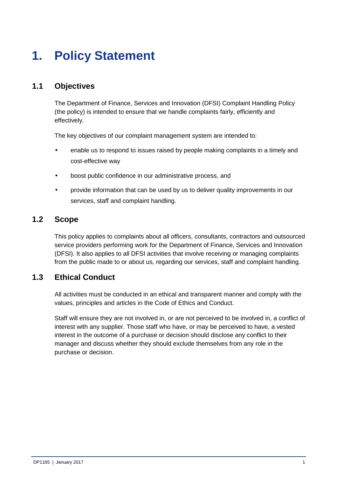## **1. Policy Statement**

## **1.1 Objectives**

The Department of Finance, Services and Innovation (DFSI) Complaint Handling Policy (the policy) is intended to ensure that we handle complaints fairly, efficiently and effectively.

The key objectives of our complaint management system are intended to:

- enable us to respond to issues raised by people making complaints in a timely and cost-effective way
- boost public confidence in our administrative process, and
- provide information that can be used by us to deliver quality improvements in our services, staff and complaint handling.

### **1.2 Scope**

This policy applies to complaints about all officers, consultants, contractors and outsourced service providers performing work for the Department of Finance, Services and Innovation (DFSI). It also applies to all DFSI activities that involve receiving or managing complaints from the public made to or about us, regarding our services, staff and complaint handling.

## **1.3 Ethical Conduct**

All activities must be conducted in an ethical and transparent manner and comply with the values, principles and articles in the Code of Ethics and Conduct.

Staff will ensure they are not involved in, or are not perceived to be involved in, a conflict of interest with any supplier. Those staff who have, or may be perceived to have, a vested interest in the outcome of a purchase or decision should disclose any conflict to their manager and discuss whether they should exclude themselves from any role in the purchase or decision.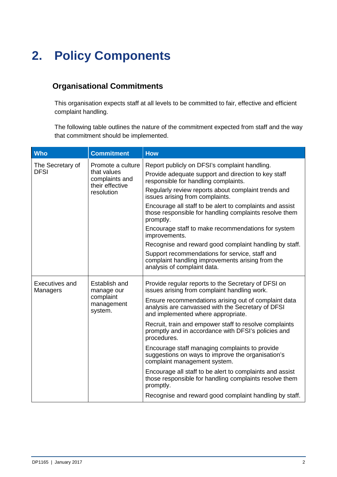## **2. Policy Components**

## **Organisational Commitments**

This organisation expects staff at all levels to be committed to fair, effective and efficient complaint handling.

The following table outlines the nature of the commitment expected from staff and the way that commitment should be implemented.

| <b>Who</b>                      | <b>Commitment</b>                                                                   | <b>How</b>                                                                                                                                                                                                                                                                                                                                                                                                                                                                                                                                                                                                                                                                                                                 |
|---------------------------------|-------------------------------------------------------------------------------------|----------------------------------------------------------------------------------------------------------------------------------------------------------------------------------------------------------------------------------------------------------------------------------------------------------------------------------------------------------------------------------------------------------------------------------------------------------------------------------------------------------------------------------------------------------------------------------------------------------------------------------------------------------------------------------------------------------------------------|
| The Secretary of<br><b>DFSI</b> | Promote a culture<br>that values<br>complaints and<br>their effective<br>resolution | Report publicly on DFSI's complaint handling.<br>Provide adequate support and direction to key staff<br>responsible for handling complaints.<br>Regularly review reports about complaint trends and<br>issues arising from complaints.<br>Encourage all staff to be alert to complaints and assist<br>those responsible for handling complaints resolve them<br>promptly.<br>Encourage staff to make recommendations for system<br>improvements.                                                                                                                                                                                                                                                                           |
|                                 |                                                                                     | Recognise and reward good complaint handling by staff.<br>Support recommendations for service, staff and<br>complaint handling improvements arising from the<br>analysis of complaint data.                                                                                                                                                                                                                                                                                                                                                                                                                                                                                                                                |
| Executives and<br>Managers      | Establish and<br>manage our<br>complaint<br>management<br>system.                   | Provide regular reports to the Secretary of DFSI on<br>issues arising from complaint handling work.<br>Ensure recommendations arising out of complaint data<br>analysis are canvassed with the Secretary of DFSI<br>and implemented where appropriate.<br>Recruit, train and empower staff to resolve complaints<br>promptly and in accordance with DFSI's policies and<br>procedures.<br>Encourage staff managing complaints to provide<br>suggestions on ways to improve the organisation's<br>complaint management system.<br>Encourage all staff to be alert to complaints and assist<br>those responsible for handling complaints resolve them<br>promptly.<br>Recognise and reward good complaint handling by staff. |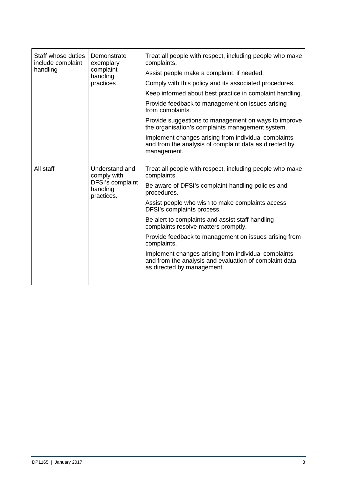| Staff whose duties<br>include complaint<br>handling | Demonstrate<br>exemplary<br>complaint<br>handling<br>practices              | Treat all people with respect, including people who make<br>complaints.                                                                      |  |
|-----------------------------------------------------|-----------------------------------------------------------------------------|----------------------------------------------------------------------------------------------------------------------------------------------|--|
|                                                     |                                                                             | Assist people make a complaint, if needed.                                                                                                   |  |
|                                                     |                                                                             | Comply with this policy and its associated procedures.                                                                                       |  |
|                                                     |                                                                             | Keep informed about best practice in complaint handling.                                                                                     |  |
|                                                     |                                                                             | Provide feedback to management on issues arising<br>from complaints.                                                                         |  |
|                                                     |                                                                             | Provide suggestions to management on ways to improve<br>the organisation's complaints management system.                                     |  |
|                                                     |                                                                             | Implement changes arising from individual complaints<br>and from the analysis of complaint data as directed by<br>management.                |  |
| All staff                                           | Understand and<br>comply with<br>DFSI's complaint<br>handling<br>practices. | Treat all people with respect, including people who make<br>complaints.                                                                      |  |
|                                                     |                                                                             | Be aware of DFSI's complaint handling policies and<br>procedures.                                                                            |  |
|                                                     |                                                                             | Assist people who wish to make complaints access<br>DFSI's complaints process.                                                               |  |
|                                                     |                                                                             | Be alert to complaints and assist staff handling<br>complaints resolve matters promptly.                                                     |  |
|                                                     |                                                                             | Provide feedback to management on issues arising from<br>complaints.                                                                         |  |
|                                                     |                                                                             | Implement changes arising from individual complaints<br>and from the analysis and evaluation of complaint data<br>as directed by management. |  |
|                                                     |                                                                             |                                                                                                                                              |  |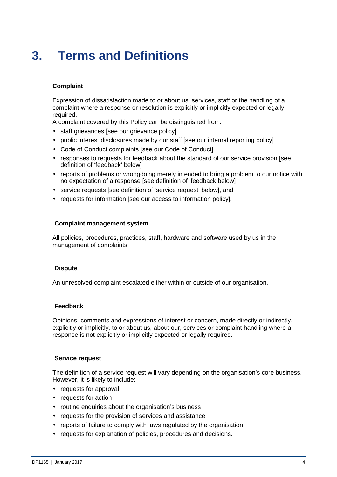## **3. Terms and Definitions**

#### **Complaint**

Expression of dissatisfaction made to or about us, services, staff or the handling of a complaint where a response or resolution is explicitly or implicitly expected or legally required.

A complaint covered by this Policy can be distinguished from:

- staff grievances [see our grievance policy]
- public interest disclosures made by our staff [see our internal reporting policy]
- Code of Conduct complaints [see our Code of Conduct]
- responses to requests for feedback about the standard of our service provision [see definition of 'feedback' below]
- reports of problems or wrongdoing merely intended to bring a problem to our notice with no expectation of a response [see definition of 'feedback below]
- service requests [see definition of 'service request' below], and
- requests for information [see our access to information policy].

#### **Complaint management system**

All policies, procedures, practices, staff, hardware and software used by us in the management of complaints.

#### **Dispute**

An unresolved complaint escalated either within or outside of our organisation.

#### **Feedback**

Opinions, comments and expressions of interest or concern, made directly or indirectly, explicitly or implicitly, to or about us, about our, services or complaint handling where a response is not explicitly or implicitly expected or legally required.

#### **Service request**

The definition of a service request will vary depending on the organisation's core business. However, it is likely to include:

- requests for approval
- requests for action
- routine enquiries about the organisation's business
- requests for the provision of services and assistance
- reports of failure to comply with laws regulated by the organisation
- requests for explanation of policies, procedures and decisions.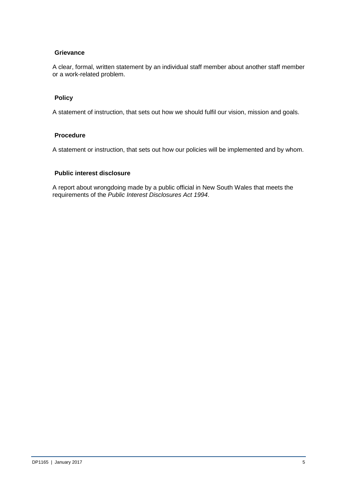#### **Grievance**

A clear, formal, written statement by an individual staff member about another staff member or a work-related problem.

#### **Policy**

A statement of instruction, that sets out how we should fulfil our vision, mission and goals.

#### **Procedure**

A statement or instruction, that sets out how our policies will be implemented and by whom.

#### **Public interest disclosure**

A report about wrongdoing made by a public official in New South Wales that meets the requirements of the Public Interest Disclosures Act 1994.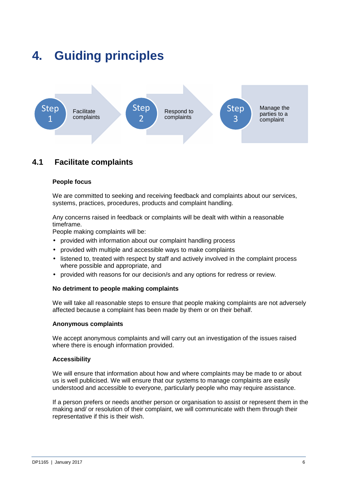## **4. Guiding principles**



## **4.1 Facilitate complaints**

#### **People focus**

We are committed to seeking and receiving feedback and complaints about our services, systems, practices, procedures, products and complaint handling.

Any concerns raised in feedback or complaints will be dealt with within a reasonable timeframe.

People making complaints will be:

- provided with information about our complaint handling process
- provided with multiple and accessible ways to make complaints
- listened to, treated with respect by staff and actively involved in the complaint process where possible and appropriate, and
- provided with reasons for our decision/s and any options for redress or review.

#### **No detriment to people making complaints**

We will take all reasonable steps to ensure that people making complaints are not adversely affected because a complaint has been made by them or on their behalf.

#### **Anonymous complaints**

We accept anonymous complaints and will carry out an investigation of the issues raised where there is enough information provided.

#### **Accessibility**

We will ensure that information about how and where complaints may be made to or about us is well publicised. We will ensure that our systems to manage complaints are easily understood and accessible to everyone, particularly people who may require assistance.

If a person prefers or needs another person or organisation to assist or represent them in the making and/ or resolution of their complaint, we will communicate with them through their representative if this is their wish.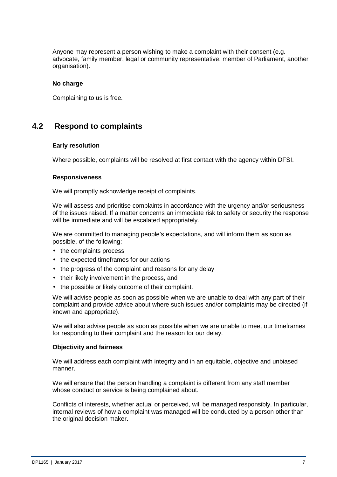Anyone may represent a person wishing to make a complaint with their consent (e.g. advocate, family member, legal or community representative, member of Parliament, another organisation).

#### **No charge**

Complaining to us is free.

### **4.2 Respond to complaints**

#### **Early resolution**

Where possible, complaints will be resolved at first contact with the agency within DFSI.

#### **Responsiveness**

We will promptly acknowledge receipt of complaints.

We will assess and prioritise complaints in accordance with the urgency and/or seriousness of the issues raised. If a matter concerns an immediate risk to safety or security the response will be immediate and will be escalated appropriately.

We are committed to managing people's expectations, and will inform them as soon as possible, of the following:

- the complaints process
- the expected timeframes for our actions
- the progress of the complaint and reasons for any delay
- their likely involvement in the process, and
- the possible or likely outcome of their complaint.

We will advise people as soon as possible when we are unable to deal with any part of their complaint and provide advice about where such issues and/or complaints may be directed (if known and appropriate).

We will also advise people as soon as possible when we are unable to meet our timeframes for responding to their complaint and the reason for our delay.

#### **Objectivity and fairness**

We will address each complaint with integrity and in an equitable, objective and unbiased manner.

We will ensure that the person handling a complaint is different from any staff member whose conduct or service is being complained about.

Conflicts of interests, whether actual or perceived, will be managed responsibly. In particular, internal reviews of how a complaint was managed will be conducted by a person other than the original decision maker.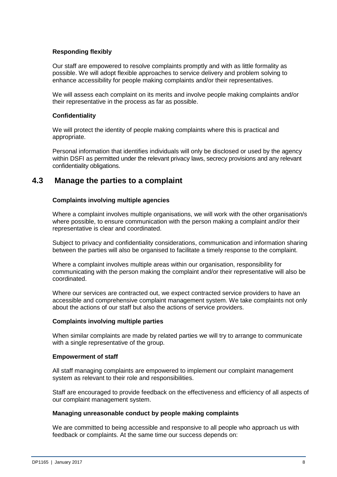#### **Responding flexibly**

Our staff are empowered to resolve complaints promptly and with as little formality as possible. We will adopt flexible approaches to service delivery and problem solving to enhance accessibility for people making complaints and/or their representatives.

We will assess each complaint on its merits and involve people making complaints and/or their representative in the process as far as possible.

#### **Confidentiality**

We will protect the identity of people making complaints where this is practical and appropriate.

Personal information that identifies individuals will only be disclosed or used by the agency within DSFI as permitted under the relevant privacy laws, secrecy provisions and any relevant confidentiality obligations.

### **4.3 Manage the parties to a complaint**

#### **Complaints involving multiple agencies**

Where a complaint involves multiple organisations, we will work with the other organisation/s where possible, to ensure communication with the person making a complaint and/or their representative is clear and coordinated.

Subject to privacy and confidentiality considerations, communication and information sharing between the parties will also be organised to facilitate a timely response to the complaint.

Where a complaint involves multiple areas within our organisation, responsibility for communicating with the person making the complaint and/or their representative will also be coordinated.

Where our services are contracted out, we expect contracted service providers to have an accessible and comprehensive complaint management system. We take complaints not only about the actions of our staff but also the actions of service providers.

#### **Complaints involving multiple parties**

When similar complaints are made by related parties we will try to arrange to communicate with a single representative of the group.

#### **Empowerment of staff**

All staff managing complaints are empowered to implement our complaint management system as relevant to their role and responsibilities.

Staff are encouraged to provide feedback on the effectiveness and efficiency of all aspects of our complaint management system.

#### **Managing unreasonable conduct by people making complaints**

We are committed to being accessible and responsive to all people who approach us with feedback or complaints. At the same time our success depends on: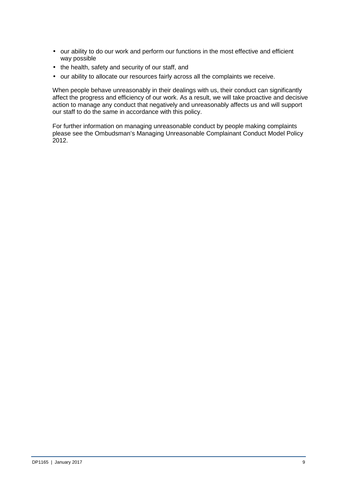- our ability to do our work and perform our functions in the most effective and efficient way possible
- the health, safety and security of our staff, and
- our ability to allocate our resources fairly across all the complaints we receive.

When people behave unreasonably in their dealings with us, their conduct can significantly affect the progress and efficiency of our work. As a result, we will take proactive and decisive action to manage any conduct that negatively and unreasonably affects us and will support our staff to do the same in accordance with this policy.

For further information on managing unreasonable conduct by people making complaints please see the Ombudsman's Managing Unreasonable Complainant Conduct Model Policy 2012.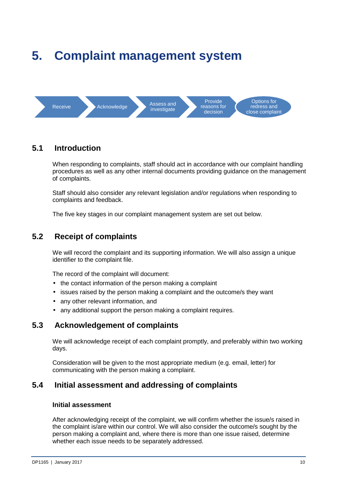## **5. Complaint management system**



### **5.1 Introduction**

When responding to complaints, staff should act in accordance with our complaint handling procedures as well as any other internal documents providing guidance on the management of complaints.

Staff should also consider any relevant legislation and/or regulations when responding to complaints and feedback.

The five key stages in our complaint management system are set out below.

## **5.2 Receipt of complaints**

We will record the complaint and its supporting information. We will also assign a unique identifier to the complaint file.

The record of the complaint will document:

- the contact information of the person making a complaint
- issues raised by the person making a complaint and the outcome/s they want
- any other relevant information, and
- any additional support the person making a complaint requires.

### **5.3 Acknowledgement of complaints**

We will acknowledge receipt of each complaint promptly, and preferably within two working days.

Consideration will be given to the most appropriate medium (e.g. email, letter) for communicating with the person making a complaint.

### **5.4 Initial assessment and addressing of complaints**

#### **Initial assessment**

After acknowledging receipt of the complaint, we will confirm whether the issue/s raised in the complaint is/are within our control. We will also consider the outcome/s sought by the person making a complaint and, where there is more than one issue raised, determine whether each issue needs to be separately addressed.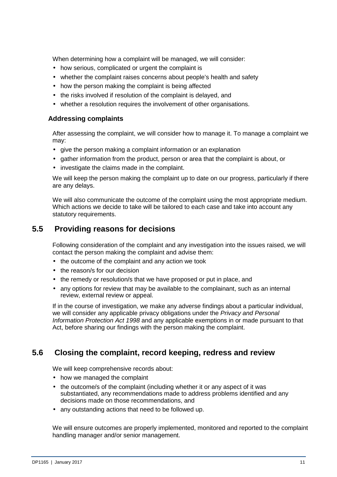When determining how a complaint will be managed, we will consider:

- how serious, complicated or urgent the complaint is
- whether the complaint raises concerns about people's health and safety
- how the person making the complaint is being affected
- the risks involved if resolution of the complaint is delayed, and
- whether a resolution requires the involvement of other organisations.

#### **Addressing complaints**

After assessing the complaint, we will consider how to manage it. To manage a complaint we may:

- give the person making a complaint information or an explanation
- gather information from the product, person or area that the complaint is about, or
- investigate the claims made in the complaint.

We will keep the person making the complaint up to date on our progress, particularly if there are any delays.

We will also communicate the outcome of the complaint using the most appropriate medium. Which actions we decide to take will be tailored to each case and take into account any statutory requirements.

### **5.5 Providing reasons for decisions**

Following consideration of the complaint and any investigation into the issues raised, we will contact the person making the complaint and advise them:

- the outcome of the complaint and any action we took
- the reason/s for our decision
- the remedy or resolution/s that we have proposed or put in place, and
- any options for review that may be available to the complainant, such as an internal review, external review or appeal.

If in the course of investigation, we make any adverse findings about a particular individual, we will consider any applicable privacy obligations under the *Privacy and Personal* Information Protection Act 1998 and any applicable exemptions in or made pursuant to that Act, before sharing our findings with the person making the complaint.

## **5.6 Closing the complaint, record keeping, redress and review**

We will keep comprehensive records about:

- how we managed the complaint
- the outcome/s of the complaint (including whether it or any aspect of it was substantiated, any recommendations made to address problems identified and any decisions made on those recommendations, and
- any outstanding actions that need to be followed up.

We will ensure outcomes are properly implemented, monitored and reported to the complaint handling manager and/or senior management.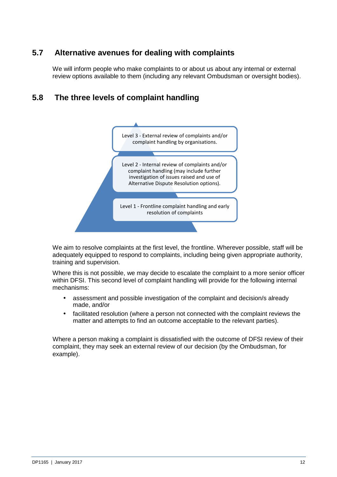## **5.7 Alternative avenues for dealing with complaints**

We will inform people who make complaints to or about us about any internal or external review options available to them (including any relevant Ombudsman or oversight bodies).

## **5.8 The three levels of complaint handling**



We aim to resolve complaints at the first level, the frontline. Wherever possible, staff will be adequately equipped to respond to complaints, including being given appropriate authority, training and supervision.

Where this is not possible, we may decide to escalate the complaint to a more senior officer within DFSI. This second level of complaint handling will provide for the following internal mechanisms:

- assessment and possible investigation of the complaint and decision/s already made, and/or
- facilitated resolution (where a person not connected with the complaint reviews the matter and attempts to find an outcome acceptable to the relevant parties).

Where a person making a complaint is dissatisfied with the outcome of DFSI review of their complaint, they may seek an external review of our decision (by the Ombudsman, for example).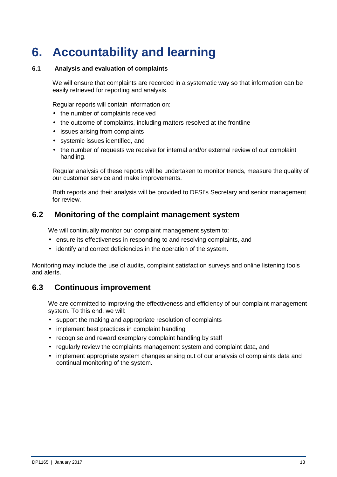## **6. Accountability and learning**

#### **6.1 Analysis and evaluation of complaints**

We will ensure that complaints are recorded in a systematic way so that information can be easily retrieved for reporting and analysis.

Regular reports will contain information on:

- the number of complaints received
- the outcome of complaints, including matters resolved at the frontline
- issues arising from complaints
- systemic issues identified, and
- the number of requests we receive for internal and/or external review of our complaint handling.

Regular analysis of these reports will be undertaken to monitor trends, measure the quality of our customer service and make improvements.

Both reports and their analysis will be provided to DFSI's Secretary and senior management for review.

### **6.2 Monitoring of the complaint management system**

We will continually monitor our complaint management system to:

- ensure its effectiveness in responding to and resolving complaints, and
- identify and correct deficiencies in the operation of the system.

Monitoring may include the use of audits, complaint satisfaction surveys and online listening tools and alerts.

### **6.3 Continuous improvement**

We are committed to improving the effectiveness and efficiency of our complaint management system. To this end, we will:

- support the making and appropriate resolution of complaints
- implement best practices in complaint handling
- recognise and reward exemplary complaint handling by staff
- regularly review the complaints management system and complaint data, and
- implement appropriate system changes arising out of our analysis of complaints data and continual monitoring of the system.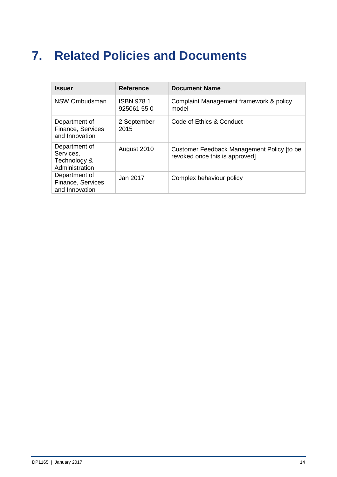## **7. Related Policies and Documents**

| <b>Issuer</b>                                                | <b>Reference</b>                | <b>Document Name</b>                                                         |
|--------------------------------------------------------------|---------------------------------|------------------------------------------------------------------------------|
| NSW Ombudsman                                                | <b>ISBN 9781</b><br>925061 55 0 | Complaint Management framework & policy<br>model                             |
| Department of<br>Finance, Services<br>and Innovation         | 2 September<br>2015             | Code of Ethics & Conduct                                                     |
| Department of<br>Services,<br>Technology &<br>Administration | August 2010                     | Customer Feedback Management Policy [to be<br>revoked once this is approved] |
| Department of<br>Finance, Services<br>and Innovation         | Jan 2017                        | Complex behaviour policy                                                     |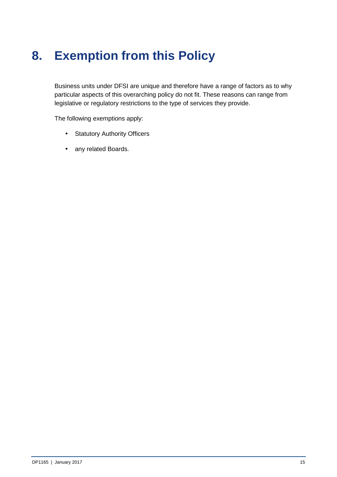## **8. Exemption from this Policy**

Business units under DFSI are unique and therefore have a range of factors as to why particular aspects of this overarching policy do not fit. These reasons can range from legislative or regulatory restrictions to the type of services they provide.

The following exemptions apply:

- Statutory Authority Officers
- any related Boards.